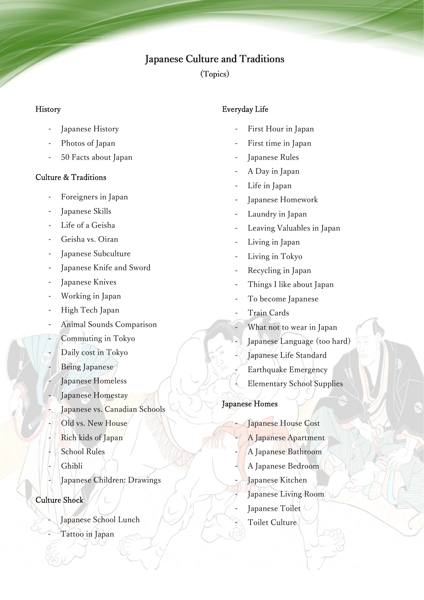# Japanese Culture and Traditions

(Topics)

## **History**

- Japanese History
- Photos of Japan
- 50 Facts about Japan

## Culture & Traditions

- Foreigners in Japan
- Japanese Skills
- Life of a Geisha
- Geisha vs. Oiran
- Japanese Subculture
- Japanese Knife and Sword
- Japanese Knives
- Working in Japan
- High Tech Japan
- Animal Sounds Comparison
- Commuting in Tokyo
- Daily cost in Tokyo
- Being Japanese
- Japanese Homeless
- Japanese Homestay
- Japanese vs. Canadian Schools
- Old vs. New House
- Rich kids of Japan
- School Rules
- **Ghibli**
- Japanese Children: Drawings

## Culture Shock

- Japanese School Lunch
- Tattoo in Japan

# Everyday Life

- First Hour in Japan
- First time in Japan
- Japanese Rules
- A Day in Japan
- Life in Japan
- Japanese Homework
- Laundry in Japan
- Leaving Valuables in Japan
- Living in Japan
- Living in Tokyo
- Recycling in Japan
- Things I like about Japan
- To become Japanese
- Train Cards
- What not to wear in Japan
- Japanese Language (too hard)
	- Japanese Life Standard
	- Earthquake Emergency
	- Elementary School Supplies

## Japanese Homes

Japanese House Cost A Japanese Apartment A Japanese Bathroom - A Japanese Bedroom Japanese Kitchen Japanese Living Room Japanese Toilet Toilet Culture